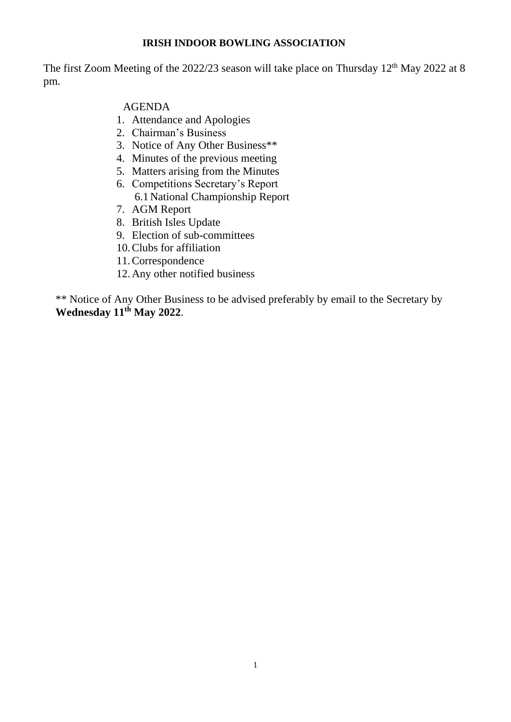# **IRISH INDOOR BOWLING ASSOCIATION**

The first Zoom Meeting of the 2022/23 season will take place on Thursday 12<sup>th</sup> May 2022 at 8 pm.

# AGENDA

- 1. Attendance and Apologies
- 2. Chairman's Business
- 3. Notice of Any Other Business\*\*
- 4. Minutes of the previous meeting
- 5. Matters arising from the Minutes
- 6. Competitions Secretary's Report 6.1National Championship Report
- 7. AGM Report
- 8. British Isles Update
- 9. Election of sub-committees
- 10.Clubs for affiliation
- 11.Correspondence
- 12.Any other notified business

\*\* Notice of Any Other Business to be advised preferably by email to the Secretary by **Wednesday 11th May 2022**.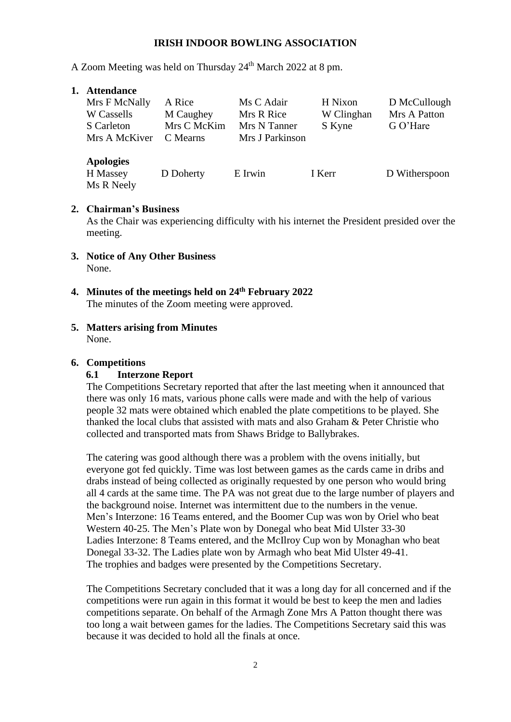## **IRISH INDOOR BOWLING ASSOCIATION**

A Zoom Meeting was held on Thursday 24<sup>th</sup> March 2022 at 8 pm.

### **1. Attendance**

| Mrs F McNally<br>W Cassells<br>S Carleton<br>Mrs A McKiver | A Rice<br>M Caughey<br>Mrs C McKim<br>C Mearns | Ms C Adair<br>Mrs R Rice<br>Mrs N Tanner<br>Mrs J Parkinson | H Nixon<br>W Clinghan<br>S Kyne | D McCullough<br>Mrs A Patton<br>G O'Hare |
|------------------------------------------------------------|------------------------------------------------|-------------------------------------------------------------|---------------------------------|------------------------------------------|
| <b>Apologies</b><br>H Massey<br>Ms R Neely                 | D Doherty                                      | E Irwin                                                     | I Kerr                          | D Witherspoon                            |

### **2. Chairman's Business**

As the Chair was experiencing difficulty with his internet the President presided over the meeting.

- **3. Notice of Any Other Business** None.
- **4. Minutes of the meetings held on 24 th February 2022** The minutes of the Zoom meeting were approved.
- **5. Matters arising from Minutes** None.

## **6. Competitions**

## **6.1 Interzone Report**

The Competitions Secretary reported that after the last meeting when it announced that there was only 16 mats, various phone calls were made and with the help of various people 32 mats were obtained which enabled the plate competitions to be played. She thanked the local clubs that assisted with mats and also Graham & Peter Christie who collected and transported mats from Shaws Bridge to Ballybrakes.

The catering was good although there was a problem with the ovens initially, but everyone got fed quickly. Time was lost between games as the cards came in dribs and drabs instead of being collected as originally requested by one person who would bring all 4 cards at the same time. The PA was not great due to the large number of players and the background noise. Internet was intermittent due to the numbers in the venue. Men's Interzone: 16 Teams entered, and the Boomer Cup was won by Oriel who beat Western 40-25. The Men's Plate won by Donegal who beat Mid Ulster 33-30 Ladies Interzone: 8 Teams entered, and the McIlroy Cup won by Monaghan who beat Donegal 33-32. The Ladies plate won by Armagh who beat Mid Ulster 49-41. The trophies and badges were presented by the Competitions Secretary.

The Competitions Secretary concluded that it was a long day for all concerned and if the competitions were run again in this format it would be best to keep the men and ladies competitions separate. On behalf of the Armagh Zone Mrs A Patton thought there was too long a wait between games for the ladies. The Competitions Secretary said this was because it was decided to hold all the finals at once.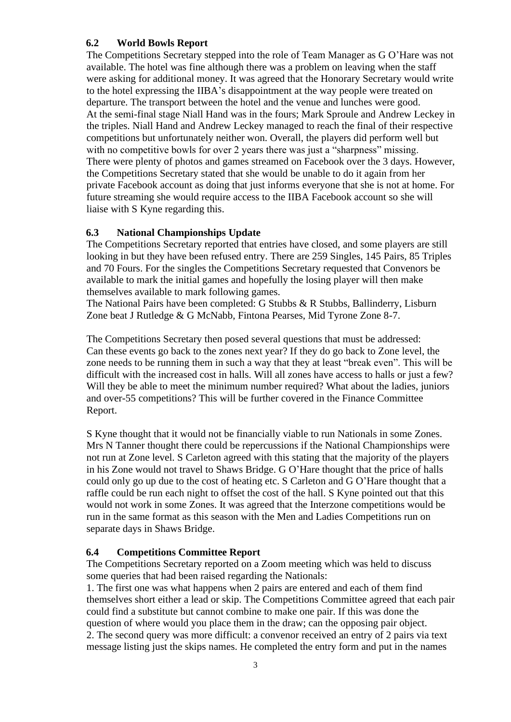## **6.2 World Bowls Report**

The Competitions Secretary stepped into the role of Team Manager as G O'Hare was not available. The hotel was fine although there was a problem on leaving when the staff were asking for additional money. It was agreed that the Honorary Secretary would write to the hotel expressing the IIBA's disappointment at the way people were treated on departure. The transport between the hotel and the venue and lunches were good. At the semi-final stage Niall Hand was in the fours; Mark Sproule and Andrew Leckey in the triples. Niall Hand and Andrew Leckey managed to reach the final of their respective competitions but unfortunately neither won. Overall, the players did perform well but with no competitive bowls for over 2 years there was just a "sharpness" missing. There were plenty of photos and games streamed on Facebook over the 3 days. However, the Competitions Secretary stated that she would be unable to do it again from her private Facebook account as doing that just informs everyone that she is not at home. For future streaming she would require access to the IIBA Facebook account so she will liaise with S Kyne regarding this.

## **6.3 National Championships Update**

The Competitions Secretary reported that entries have closed, and some players are still looking in but they have been refused entry. There are 259 Singles, 145 Pairs, 85 Triples and 70 Fours. For the singles the Competitions Secretary requested that Convenors be available to mark the initial games and hopefully the losing player will then make themselves available to mark following games.

The National Pairs have been completed: G Stubbs & R Stubbs, Ballinderry, Lisburn Zone beat J Rutledge & G McNabb, Fintona Pearses, Mid Tyrone Zone 8-7.

The Competitions Secretary then posed several questions that must be addressed: Can these events go back to the zones next year? If they do go back to Zone level, the zone needs to be running them in such a way that they at least "break even". This will be difficult with the increased cost in halls. Will all zones have access to halls or just a few? Will they be able to meet the minimum number required? What about the ladies, juniors and over-55 competitions? This will be further covered in the Finance Committee Report.

S Kyne thought that it would not be financially viable to run Nationals in some Zones. Mrs N Tanner thought there could be repercussions if the National Championships were not run at Zone level. S Carleton agreed with this stating that the majority of the players in his Zone would not travel to Shaws Bridge. G O'Hare thought that the price of halls could only go up due to the cost of heating etc. S Carleton and G O'Hare thought that a raffle could be run each night to offset the cost of the hall. S Kyne pointed out that this would not work in some Zones. It was agreed that the Interzone competitions would be run in the same format as this season with the Men and Ladies Competitions run on separate days in Shaws Bridge.

#### **6.4 Competitions Committee Report**

The Competitions Secretary reported on a Zoom meeting which was held to discuss some queries that had been raised regarding the Nationals:

1. The first one was what happens when 2 pairs are entered and each of them find themselves short either a lead or skip. The Competitions Committee agreed that each pair could find a substitute but cannot combine to make one pair. If this was done the question of where would you place them in the draw; can the opposing pair object. 2. The second query was more difficult: a convenor received an entry of 2 pairs via text message listing just the skips names. He completed the entry form and put in the names